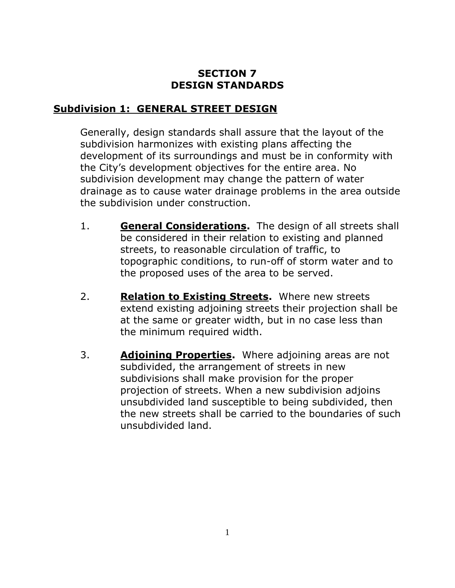# **SECTION 7 DESIGN STANDARDS**

## **Subdivision 1: GENERAL STREET DESIGN**

Generally, design standards shall assure that the layout of the subdivision harmonizes with existing plans affecting the development of its surroundings and must be in conformity with the City's development objectives for the entire area. No subdivision development may change the pattern of water drainage as to cause water drainage problems in the area outside the subdivision under construction.

- 1. **General Considerations.** The design of all streets shall be considered in their relation to existing and planned streets, to reasonable circulation of traffic, to topographic conditions, to run-off of storm water and to the proposed uses of the area to be served.
- 2. **Relation to Existing Streets.** Where new streets extend existing adjoining streets their projection shall be at the same or greater width, but in no case less than the minimum required width.
- 3. **Adjoining Properties.** Where adjoining areas are not subdivided, the arrangement of streets in new subdivisions shall make provision for the proper projection of streets. When a new subdivision adjoins unsubdivided land susceptible to being subdivided, then the new streets shall be carried to the boundaries of such unsubdivided land.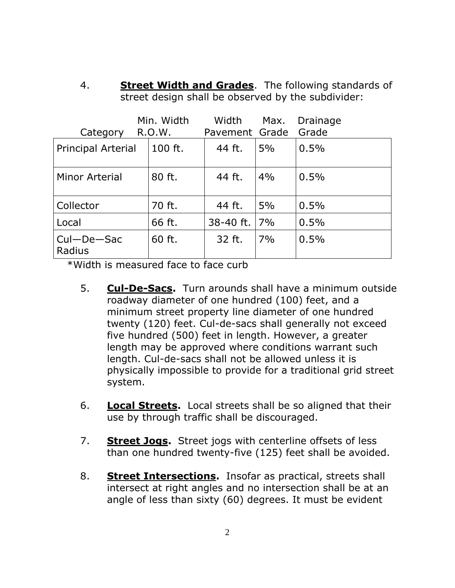4. **Street Width and Grades**. The following standards of street design shall be observed by the subdivider:

| Category                   | Min. Width<br>R.O.W. | Width<br>Pavement Grade | Max. | Drainage<br>Grade |
|----------------------------|----------------------|-------------------------|------|-------------------|
| <b>Principal Arterial</b>  | 100 ft.              | 44 ft.                  | 5%   | 0.5%              |
| Minor Arterial             | 80 ft.               | 44 ft.                  | 4%   | 0.5%              |
| Collector                  | 70 ft.               | 44 ft.                  | 5%   | 0.5%              |
| Local                      | 66 ft.               | 38-40 ft.               | 7%   | 0.5%              |
| $CuI - De - Sac$<br>Radius | 60 ft.               | 32 ft.                  | 7%   | 0.5%              |

\*Width is measured face to face curb

- 5. **Cul-De-Sacs.** Turn arounds shall have a minimum outside roadway diameter of one hundred (100) feet, and a minimum street property line diameter of one hundred twenty (120) feet. Cul-de-sacs shall generally not exceed five hundred (500) feet in length. However, a greater length may be approved where conditions warrant such length. Cul-de-sacs shall not be allowed unless it is physically impossible to provide for a traditional grid street system.
- 6. **Local Streets.** Local streets shall be so aligned that their use by through traffic shall be discouraged.
- 7. **Street Jogs.** Street jogs with centerline offsets of less than one hundred twenty-five (125) feet shall be avoided.
- 8. **Street Intersections.** Insofar as practical, streets shall intersect at right angles and no intersection shall be at an angle of less than sixty (60) degrees. It must be evident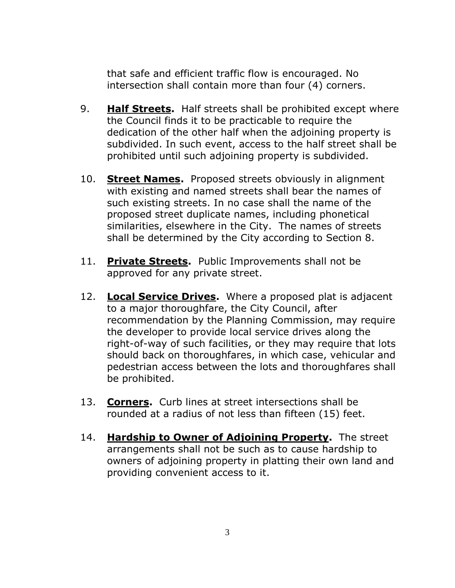that safe and efficient traffic flow is encouraged. No intersection shall contain more than four (4) corners.

- 9. **Half Streets.** Half streets shall be prohibited except where the Council finds it to be practicable to require the dedication of the other half when the adjoining property is subdivided. In such event, access to the half street shall be prohibited until such adjoining property is subdivided.
- 10. **Street Names.** Proposed streets obviously in alignment with existing and named streets shall bear the names of such existing streets. In no case shall the name of the proposed street duplicate names, including phonetical similarities, elsewhere in the City. The names of streets shall be determined by the City according to Section 8.
- 11. **Private Streets.** Public Improvements shall not be approved for any private street.
- 12. **Local Service Drives.** Where a proposed plat is adjacent to a major thoroughfare, the City Council, after recommendation by the Planning Commission, may require the developer to provide local service drives along the right-of-way of such facilities, or they may require that lots should back on thoroughfares, in which case, vehicular and pedestrian access between the lots and thoroughfares shall be prohibited.
- 13. **Corners.** Curb lines at street intersections shall be rounded at a radius of not less than fifteen (15) feet.
- 14. **Hardship to Owner of Adjoining Property.** The street arrangements shall not be such as to cause hardship to owners of adjoining property in platting their own land and providing convenient access to it.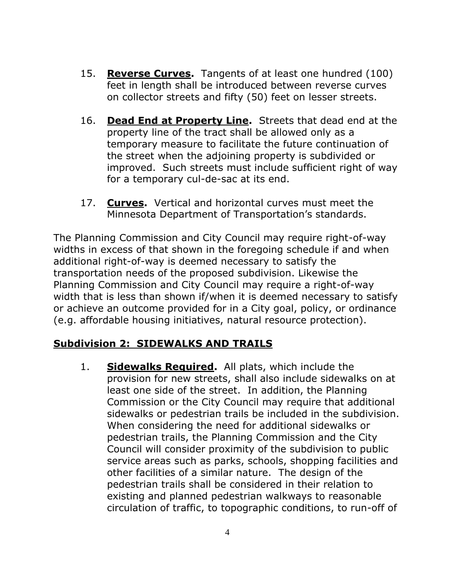- 15. **Reverse Curves.** Tangents of at least one hundred (100) feet in length shall be introduced between reverse curves on collector streets and fifty (50) feet on lesser streets.
- 16. **Dead End at Property Line.** Streets that dead end at the property line of the tract shall be allowed only as a temporary measure to facilitate the future continuation of the street when the adjoining property is subdivided or improved. Such streets must include sufficient right of way for a temporary cul-de-sac at its end.
- 17. **Curves.** Vertical and horizontal curves must meet the Minnesota Department of Transportation's standards.

The Planning Commission and City Council may require right-of-way widths in excess of that shown in the foregoing schedule if and when additional right-of-way is deemed necessary to satisfy the transportation needs of the proposed subdivision. Likewise the Planning Commission and City Council may require a right-of-way width that is less than shown if/when it is deemed necessary to satisfy or achieve an outcome provided for in a City goal, policy, or ordinance (e.g. affordable housing initiatives, natural resource protection).

### **Subdivision 2: SIDEWALKS AND TRAILS**

1. **Sidewalks Required.** All plats, which include the provision for new streets, shall also include sidewalks on at least one side of the street. In addition, the Planning Commission or the City Council may require that additional sidewalks or pedestrian trails be included in the subdivision. When considering the need for additional sidewalks or pedestrian trails, the Planning Commission and the City Council will consider proximity of the subdivision to public service areas such as parks, schools, shopping facilities and other facilities of a similar nature. The design of the pedestrian trails shall be considered in their relation to existing and planned pedestrian walkways to reasonable circulation of traffic, to topographic conditions, to run-off of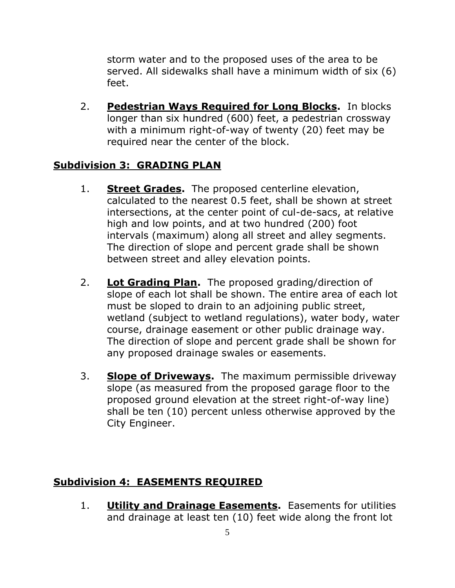storm water and to the proposed uses of the area to be served. All sidewalks shall have a minimum width of six (6) feet.

2. **Pedestrian Ways Required for Long Blocks.** In blocks longer than six hundred (600) feet, a pedestrian crossway with a minimum right-of-way of twenty (20) feet may be required near the center of the block.

## **Subdivision 3: GRADING PLAN**

- 1. **Street Grades.** The proposed centerline elevation, calculated to the nearest 0.5 feet, shall be shown at street intersections, at the center point of cul-de-sacs, at relative high and low points, and at two hundred (200) foot intervals (maximum) along all street and alley segments. The direction of slope and percent grade shall be shown between street and alley elevation points.
- 2. **Lot Grading Plan.** The proposed grading/direction of slope of each lot shall be shown. The entire area of each lot must be sloped to drain to an adjoining public street, wetland (subject to wetland regulations), water body, water course, drainage easement or other public drainage way. The direction of slope and percent grade shall be shown for any proposed drainage swales or easements.
- 3. **Slope of Driveways.** The maximum permissible driveway slope (as measured from the proposed garage floor to the proposed ground elevation at the street right-of-way line) shall be ten (10) percent unless otherwise approved by the City Engineer.

### **Subdivision 4: EASEMENTS REQUIRED**

1. **Utility and Drainage Easements.** Easements for utilities and drainage at least ten (10) feet wide along the front lot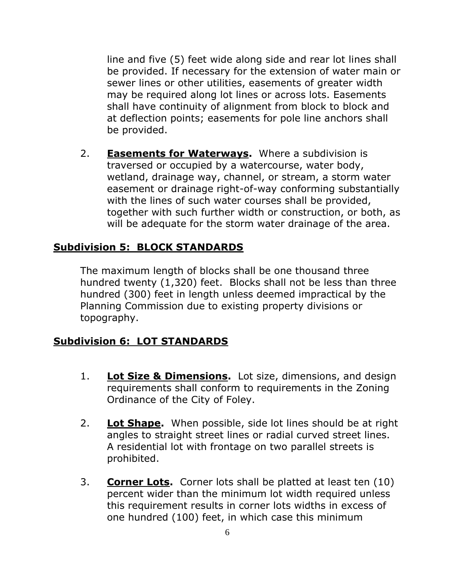line and five (5) feet wide along side and rear lot lines shall be provided. If necessary for the extension of water main or sewer lines or other utilities, easements of greater width may be required along lot lines or across lots. Easements shall have continuity of alignment from block to block and at deflection points; easements for pole line anchors shall be provided.

2. **Easements for Waterways.** Where a subdivision is traversed or occupied by a watercourse, water body, wetland, drainage way, channel, or stream, a storm water easement or drainage right-of-way conforming substantially with the lines of such water courses shall be provided, together with such further width or construction, or both, as will be adequate for the storm water drainage of the area.

### **Subdivision 5: BLOCK STANDARDS**

The maximum length of blocks shall be one thousand three hundred twenty (1,320) feet. Blocks shall not be less than three hundred (300) feet in length unless deemed impractical by the Planning Commission due to existing property divisions or topography.

#### **Subdivision 6: LOT STANDARDS**

- 1. **Lot Size & Dimensions.** Lot size, dimensions, and design requirements shall conform to requirements in the Zoning Ordinance of the City of Foley.
- 2. **Lot Shape.** When possible, side lot lines should be at right angles to straight street lines or radial curved street lines. A residential lot with frontage on two parallel streets is prohibited.
- 3. **Corner Lots.** Corner lots shall be platted at least ten (10) percent wider than the minimum lot width required unless this requirement results in corner lots widths in excess of one hundred (100) feet, in which case this minimum